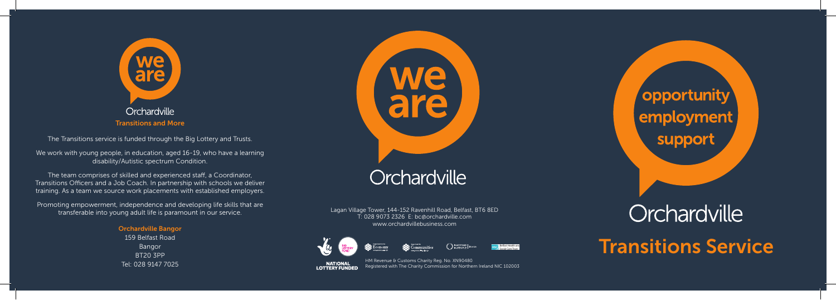

The Transitions service is funded through the Big Lottery and Trusts.

We work with young people, in education, aged 16-19, who have a learning disability/Autistic spectrum Condition.

The team comprises of skilled and experienced staff, a Coordinator, Transitions Officers and a Job Coach. In partnership with schools we deliver training. As a team we source work placements with established employers.

Promoting empowerment, independence and developing life skills that are transferable into young adult life is paramount in our service.

> Orchardville Bangor 159 Belfast Road Bangor BT20 3PP Tel: 028 9147 7025



Lagan Village Tower, 144-152 Ravenhill Road, Belfast, BT6 8ED T: 028 9073 2326 E: bc@orchardville.com www.orchardvillebusiness.com







HM Revenue & Customs Charity Reg. No. XN90480 Registered with The Charity Commission for Northern Ireland NIC 102003 **LOTTERY FUNDED** 

*Opportunity* employment support

## Orchardville

Transitions Service